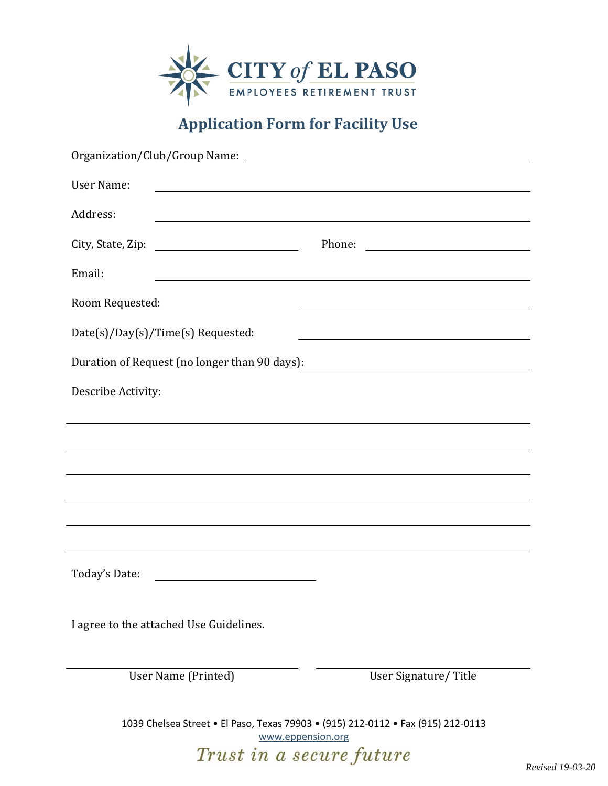

## **Application Form for Facility Use**

| Organization/Club/Group Name:                                                                                  |                                                                                                                                                                                                                               |
|----------------------------------------------------------------------------------------------------------------|-------------------------------------------------------------------------------------------------------------------------------------------------------------------------------------------------------------------------------|
| <b>User Name:</b>                                                                                              | the control of the control of the control of the control of the control of the control of the control of the control of the control of the control of the control of the control of the control of the control of the control |
| Address:                                                                                                       | <u> 1989 - Johann Stoff, deutscher Stoffen und der Stoffen und der Stoffen und der Stoffen und der Stoffen und d</u>                                                                                                          |
| City, State, Zip:                                                                                              |                                                                                                                                                                                                                               |
| Email:                                                                                                         | <u> 1989 - Johann Stoff, amerikansk politiker (d. 1989)</u>                                                                                                                                                                   |
| Room Requested:                                                                                                | <u> 1989 - Andrea Branden, amerikansk politik (d. 1989)</u>                                                                                                                                                                   |
| Date(s)/Day(s)/Time(s) Requested:                                                                              | <u> 1980 - Johann Barn, mars ann an t-Amhain Aonaich an t-Aonaich an t-Aonaich ann an t-Aonaich ann an t-Aonaich</u>                                                                                                          |
| Duration of Request (no longer than 90 days): 2012 2022 2023 2024 2022 2023 2024 2022 2023 2024 2022 2023 2024 |                                                                                                                                                                                                                               |
| Describe Activity:                                                                                             |                                                                                                                                                                                                                               |
|                                                                                                                |                                                                                                                                                                                                                               |
|                                                                                                                |                                                                                                                                                                                                                               |
|                                                                                                                |                                                                                                                                                                                                                               |
|                                                                                                                |                                                                                                                                                                                                                               |
|                                                                                                                |                                                                                                                                                                                                                               |
| Today's Date:<br><u> 1989 - Johann Barnett, fransk politik (d. 1989)</u>                                       |                                                                                                                                                                                                                               |
| I agree to the attached Use Guidelines.                                                                        |                                                                                                                                                                                                                               |
| User Name (Printed)                                                                                            | User Signature/Title                                                                                                                                                                                                          |

1039 Chelsea Street • El Paso, Texas 79903 • (915) 212-0112 • Fax (915) 212-0113 [www.eppension.org](http://www.eppension.org/) Trust in a secure future